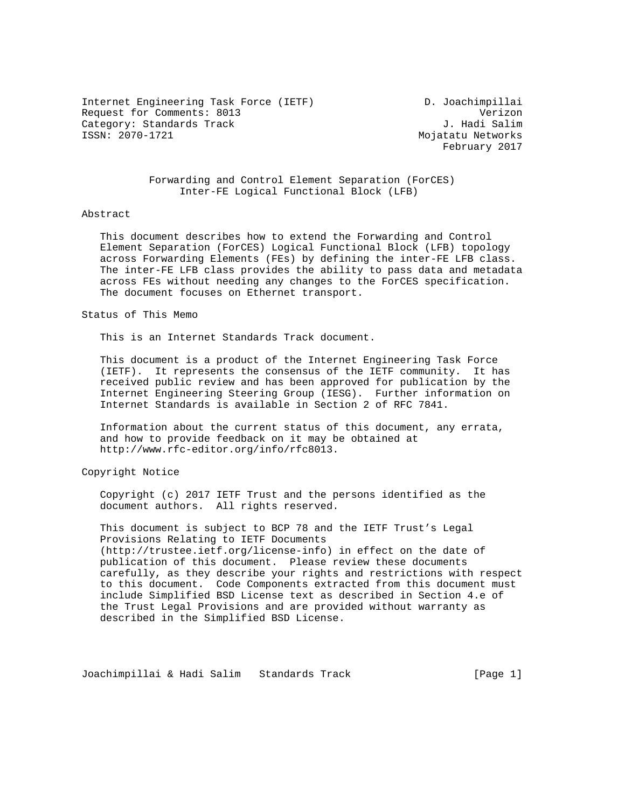Internet Engineering Task Force (IETF) D. Joachimpillai Request for Comments: 8013 Verizon Category: Standards Track<br>ISSN: 2070-1721

Mojatatu Networks February 2017

 Forwarding and Control Element Separation (ForCES) Inter-FE Logical Functional Block (LFB)

### Abstract

 This document describes how to extend the Forwarding and Control Element Separation (ForCES) Logical Functional Block (LFB) topology across Forwarding Elements (FEs) by defining the inter-FE LFB class. The inter-FE LFB class provides the ability to pass data and metadata across FEs without needing any changes to the ForCES specification. The document focuses on Ethernet transport.

## Status of This Memo

This is an Internet Standards Track document.

 This document is a product of the Internet Engineering Task Force (IETF). It represents the consensus of the IETF community. It has received public review and has been approved for publication by the Internet Engineering Steering Group (IESG). Further information on Internet Standards is available in Section 2 of RFC 7841.

 Information about the current status of this document, any errata, and how to provide feedback on it may be obtained at http://www.rfc-editor.org/info/rfc8013.

# Copyright Notice

 Copyright (c) 2017 IETF Trust and the persons identified as the document authors. All rights reserved.

 This document is subject to BCP 78 and the IETF Trust's Legal Provisions Relating to IETF Documents (http://trustee.ietf.org/license-info) in effect on the date of publication of this document. Please review these documents carefully, as they describe your rights and restrictions with respect to this document. Code Components extracted from this document must include Simplified BSD License text as described in Section 4.e of the Trust Legal Provisions and are provided without warranty as described in the Simplified BSD License.

Joachimpillai & Hadi Salim Standards Track [Page 1]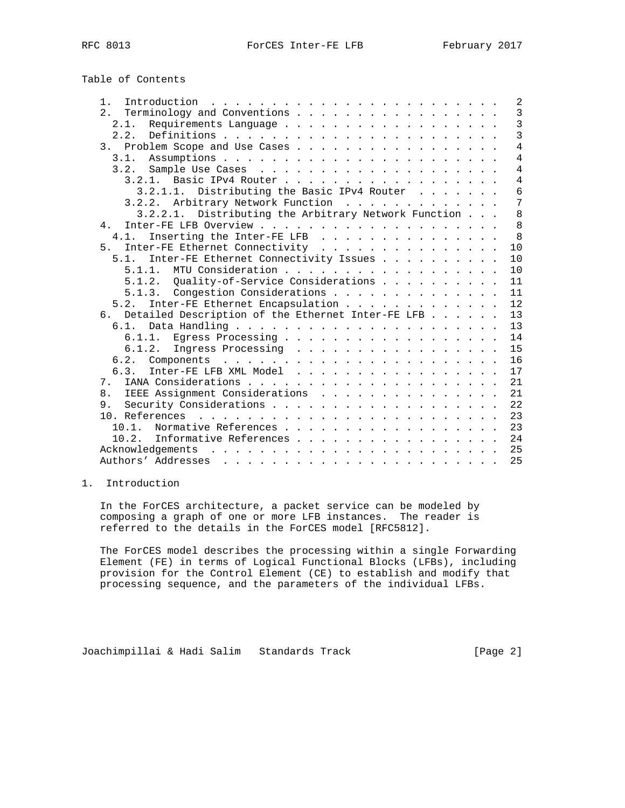Table of Contents

| 1.                                                   |  | 2              |
|------------------------------------------------------|--|----------------|
| 2.<br>Terminology and Conventions                    |  | $\overline{3}$ |
| 2.1.<br>Requirements Language                        |  | $\overline{3}$ |
|                                                      |  | $\overline{3}$ |
| Problem Scope and Use Cases<br>3.                    |  | $\overline{4}$ |
| 3.1.                                                 |  | $\overline{4}$ |
| 3.2.                                                 |  | $\overline{4}$ |
| 3.2.1. Basic IPv4 Router                             |  | $\overline{4}$ |
| Distributing the Basic IPv4 Router<br>3.2.1.1.       |  | 6              |
| 3.2.2. Arbitrary Network Function                    |  | $\overline{7}$ |
| 3.2.2.1. Distributing the Arbitrary Network Function |  | 8              |
| 4.                                                   |  | 8              |
| Inserting the Inter-FE LFB<br>4.1.                   |  | $\mathsf{R}$   |
| Inter-FE Ethernet Connectivity<br>5 <sub>1</sub>     |  | 10             |
| Inter-FE Ethernet Connectivity Issues<br>5.1.        |  | 10             |
| MTU Consideration<br>5 1 1                           |  | 10             |
| 5.1.2. Quality-of-Service Considerations             |  | 11             |
| 5.1.3. Congestion Considerations                     |  | 11             |
| Inter-FE Ethernet Encapsulation<br>5.2.              |  | 12             |
| 6. Detailed Description of the Ethernet Inter-FE LFB |  | 13             |
| 6.1.                                                 |  | 13             |
| Egress Processing<br>6.1.1.                          |  | 14             |
| 6.1.2.<br>Ingress Processing                         |  | 15             |
| 6.2.                                                 |  | 16             |
| Inter-FE LFB XML Model<br>6.3.                       |  | 17             |
| 7.                                                   |  | 21             |
| IEEE Assignment Considerations<br>8.                 |  | 21             |
| 9.                                                   |  | 22             |
|                                                      |  | 23             |
| Normative References<br>10.1.                        |  | 23             |
| 10.2.<br>Informative References                      |  | 24             |
| Acknowledgements                                     |  | 25             |
|                                                      |  | 25             |

# 1. Introduction

 In the ForCES architecture, a packet service can be modeled by composing a graph of one or more LFB instances. The reader is referred to the details in the ForCES model [RFC5812].

 The ForCES model describes the processing within a single Forwarding Element (FE) in terms of Logical Functional Blocks (LFBs), including provision for the Control Element (CE) to establish and modify that processing sequence, and the parameters of the individual LFBs.

Joachimpillai & Hadi Salim Standards Track [Page 2]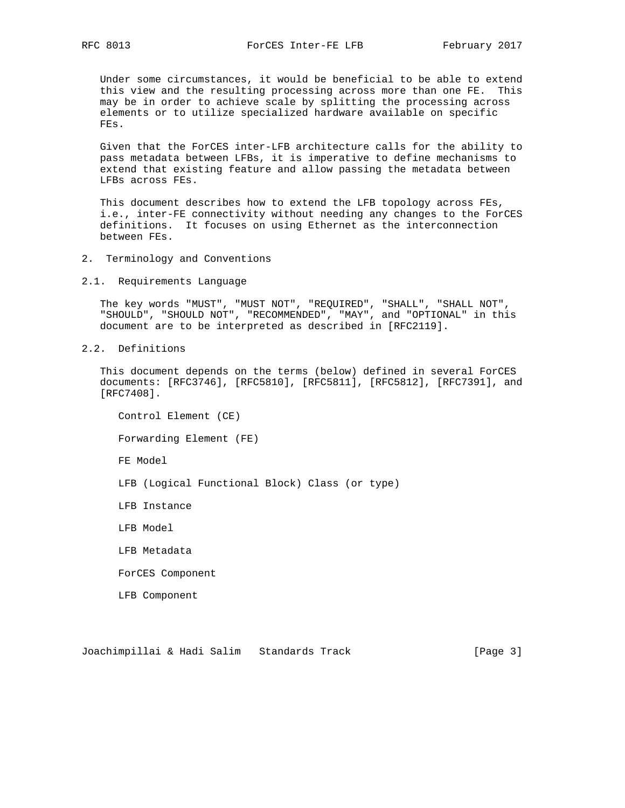Under some circumstances, it would be beneficial to be able to extend this view and the resulting processing across more than one FE. This may be in order to achieve scale by splitting the processing across elements or to utilize specialized hardware available on specific FEs.

 Given that the ForCES inter-LFB architecture calls for the ability to pass metadata between LFBs, it is imperative to define mechanisms to extend that existing feature and allow passing the metadata between LFBs across FEs.

 This document describes how to extend the LFB topology across FEs, i.e., inter-FE connectivity without needing any changes to the ForCES definitions. It focuses on using Ethernet as the interconnection between FEs.

- 2. Terminology and Conventions
- 2.1. Requirements Language

 The key words "MUST", "MUST NOT", "REQUIRED", "SHALL", "SHALL NOT", "SHOULD", "SHOULD NOT", "RECOMMENDED", "MAY", and "OPTIONAL" in this document are to be interpreted as described in [RFC2119].

2.2. Definitions

 This document depends on the terms (below) defined in several ForCES documents: [RFC3746], [RFC5810], [RFC5811], [RFC5812], [RFC7391], and [RFC7408].

 Control Element (CE) Forwarding Element (FE) FE Model LFB (Logical Functional Block) Class (or type) LFB Instance LFB Model LFB Metadata ForCES Component LFB Component

Joachimpillai & Hadi Salim Standards Track [Page 3]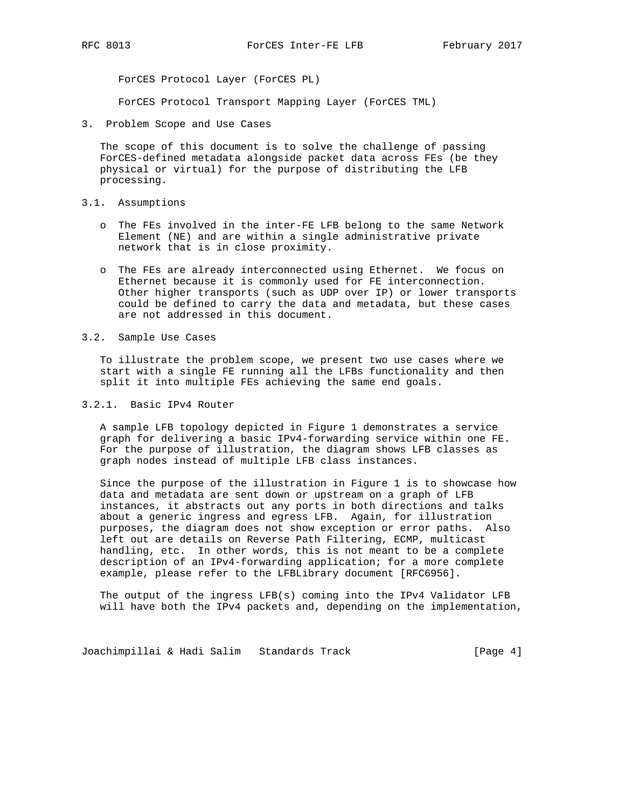ForCES Protocol Layer (ForCES PL)

ForCES Protocol Transport Mapping Layer (ForCES TML)

3. Problem Scope and Use Cases

 The scope of this document is to solve the challenge of passing ForCES-defined metadata alongside packet data across FEs (be they physical or virtual) for the purpose of distributing the LFB processing.

- 3.1. Assumptions
	- o The FEs involved in the inter-FE LFB belong to the same Network Element (NE) and are within a single administrative private network that is in close proximity.
	- o The FEs are already interconnected using Ethernet. We focus on Ethernet because it is commonly used for FE interconnection. Other higher transports (such as UDP over IP) or lower transports could be defined to carry the data and metadata, but these cases are not addressed in this document.
- 3.2. Sample Use Cases

 To illustrate the problem scope, we present two use cases where we start with a single FE running all the LFBs functionality and then split it into multiple FEs achieving the same end goals.

## 3.2.1. Basic IPv4 Router

 A sample LFB topology depicted in Figure 1 demonstrates a service graph for delivering a basic IPv4-forwarding service within one FE. For the purpose of illustration, the diagram shows LFB classes as graph nodes instead of multiple LFB class instances.

 Since the purpose of the illustration in Figure 1 is to showcase how data and metadata are sent down or upstream on a graph of LFB instances, it abstracts out any ports in both directions and talks about a generic ingress and egress LFB. Again, for illustration purposes, the diagram does not show exception or error paths. Also left out are details on Reverse Path Filtering, ECMP, multicast handling, etc. In other words, this is not meant to be a complete description of an IPv4-forwarding application; for a more complete example, please refer to the LFBLibrary document [RFC6956].

 The output of the ingress LFB(s) coming into the IPv4 Validator LFB will have both the IPv4 packets and, depending on the implementation,

Joachimpillai & Hadi Salim Standards Track [Page 4]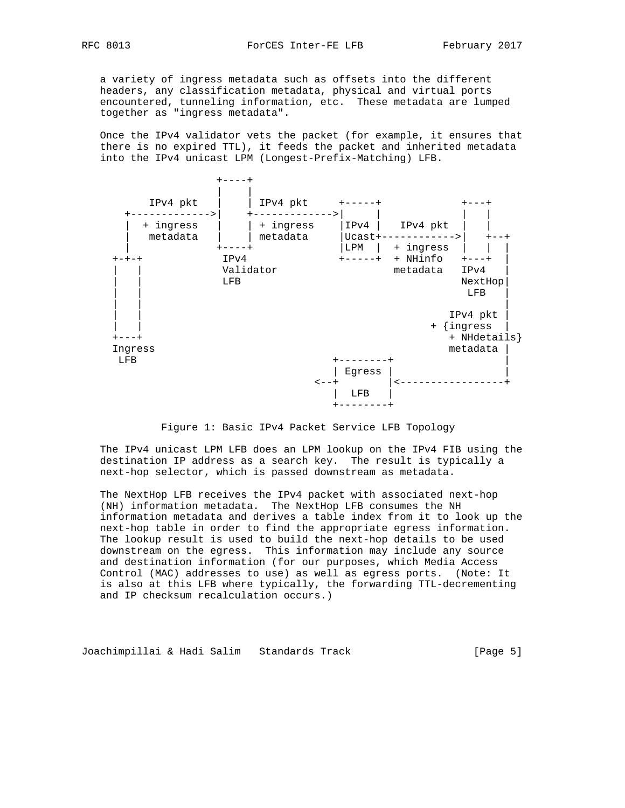a variety of ingress metadata such as offsets into the different headers, any classification metadata, physical and virtual ports encountered, tunneling information, etc. These metadata are lumped together as "ingress metadata".

 Once the IPv4 validator vets the packet (for example, it ensures that there is no expired TTL), it feeds the packet and inherited metadata into the IPv4 unicast LPM (Longest-Prefix-Matching) LFB.



Figure 1: Basic IPv4 Packet Service LFB Topology

 The IPv4 unicast LPM LFB does an LPM lookup on the IPv4 FIB using the destination IP address as a search key. The result is typically a next-hop selector, which is passed downstream as metadata.

 The NextHop LFB receives the IPv4 packet with associated next-hop (NH) information metadata. The NextHop LFB consumes the NH information metadata and derives a table index from it to look up the next-hop table in order to find the appropriate egress information. The lookup result is used to build the next-hop details to be used downstream on the egress. This information may include any source and destination information (for our purposes, which Media Access Control (MAC) addresses to use) as well as egress ports. (Note: It is also at this LFB where typically, the forwarding TTL-decrementing and IP checksum recalculation occurs.)

Joachimpillai & Hadi Salim Standards Track [Page 5]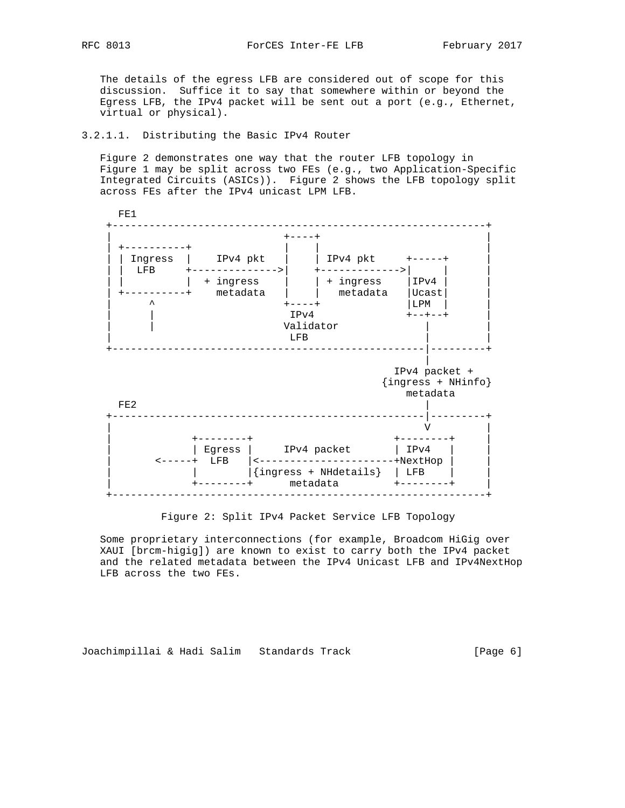The details of the egress LFB are considered out of scope for this discussion. Suffice it to say that somewhere within or beyond the Egress LFB, the IPv4 packet will be sent out a port (e.g., Ethernet, virtual or physical).

#### 3.2.1.1. Distributing the Basic IPv4 Router

 Figure 2 demonstrates one way that the router LFB topology in Figure 1 may be split across two FEs (e.g., two Application-Specific Integrated Circuits (ASICs)). Figure 2 shows the LFB topology split across FEs after the IPv4 unicast LPM LFB.



Figure 2: Split IPv4 Packet Service LFB Topology

 Some proprietary interconnections (for example, Broadcom HiGig over XAUI [brcm-higig]) are known to exist to carry both the IPv4 packet and the related metadata between the IPv4 Unicast LFB and IPv4NextHop LFB across the two FEs.

Joachimpillai & Hadi Salim Standards Track [Page 6]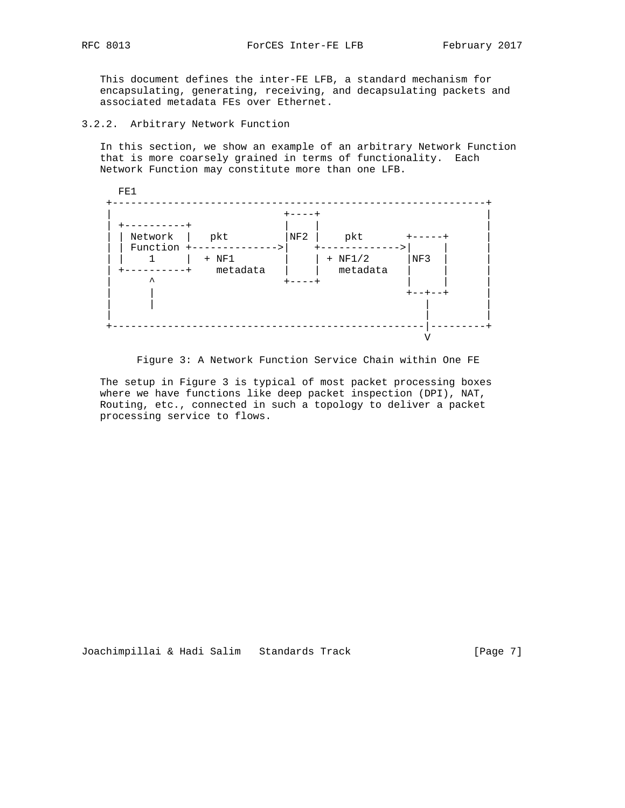This document defines the inter-FE LFB, a standard mechanism for encapsulating, generating, receiving, and decapsulating packets and associated metadata FEs over Ethernet.

3.2.2. Arbitrary Network Function

 In this section, we show an example of an arbitrary Network Function that is more coarsely grained in terms of functionality. Each Network Function may constitute more than one LFB.

| -----           |
|-----------------|
|                 |
|                 |
| NF3             |
|                 |
|                 |
| $+ - - + - - +$ |
|                 |
|                 |

Figure 3: A Network Function Service Chain within One FE

 The setup in Figure 3 is typical of most packet processing boxes where we have functions like deep packet inspection (DPI), NAT, Routing, etc., connected in such a topology to deliver a packet processing service to flows.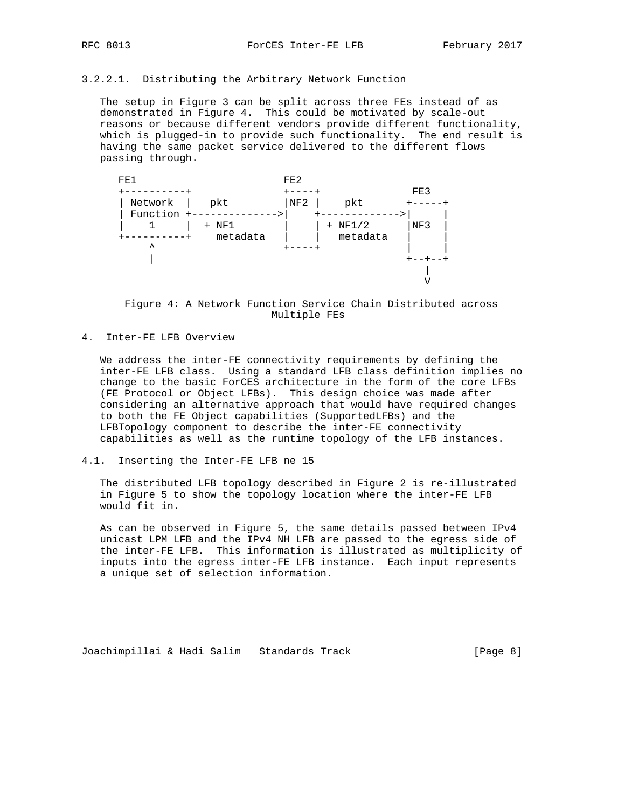# 3.2.2.1. Distributing the Arbitrary Network Function

 The setup in Figure 3 can be split across three FEs instead of as demonstrated in Figure 4. This could be motivated by scale-out reasons or because different vendors provide different functionality, which is plugged-in to provide such functionality. The end result is having the same packet service delivered to the different flows passing through.



 Figure 4: A Network Function Service Chain Distributed across Multiple FEs

## 4. Inter-FE LFB Overview

 We address the inter-FE connectivity requirements by defining the inter-FE LFB class. Using a standard LFB class definition implies no change to the basic ForCES architecture in the form of the core LFBs (FE Protocol or Object LFBs). This design choice was made after considering an alternative approach that would have required changes to both the FE Object capabilities (SupportedLFBs) and the LFBTopology component to describe the inter-FE connectivity capabilities as well as the runtime topology of the LFB instances.

### 4.1. Inserting the Inter-FE LFB ne 15

 The distributed LFB topology described in Figure 2 is re-illustrated in Figure 5 to show the topology location where the inter-FE LFB would fit in.

 As can be observed in Figure 5, the same details passed between IPv4 unicast LPM LFB and the IPv4 NH LFB are passed to the egress side of the inter-FE LFB. This information is illustrated as multiplicity of inputs into the egress inter-FE LFB instance. Each input represents a unique set of selection information.

Joachimpillai & Hadi Salim Standards Track [Page 8]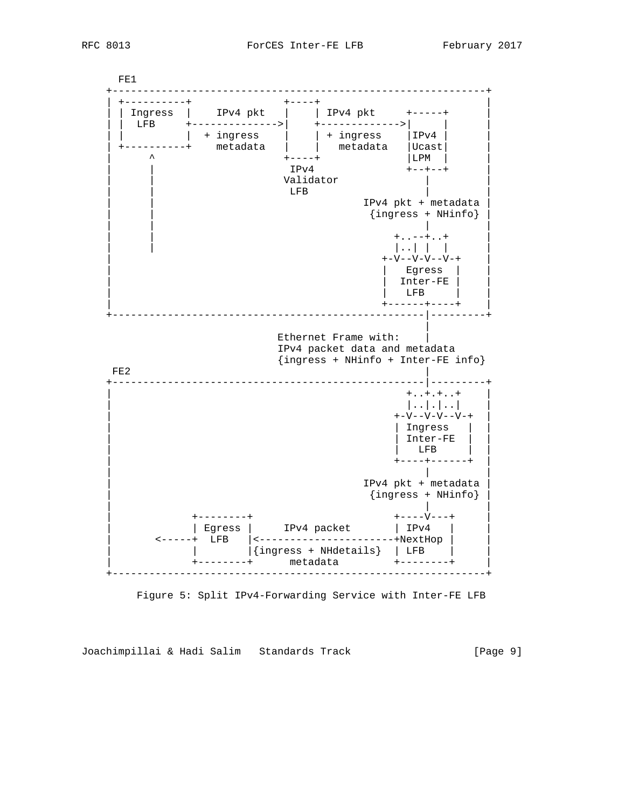

Figure 5: Split IPv4-Forwarding Service with Inter-FE LFB

Joachimpillai & Hadi Salim Standards Track [Page 9]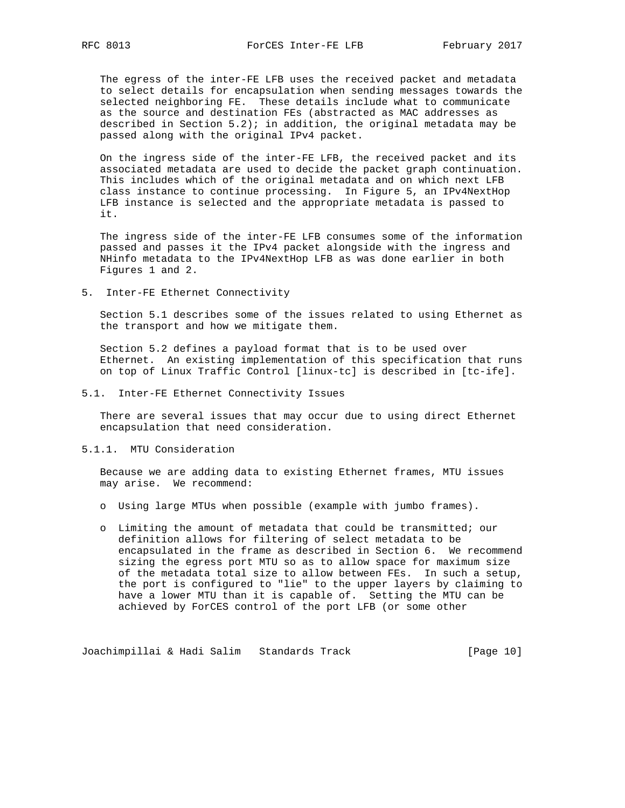The egress of the inter-FE LFB uses the received packet and metadata to select details for encapsulation when sending messages towards the selected neighboring FE. These details include what to communicate as the source and destination FEs (abstracted as MAC addresses as described in Section 5.2); in addition, the original metadata may be passed along with the original IPv4 packet.

 On the ingress side of the inter-FE LFB, the received packet and its associated metadata are used to decide the packet graph continuation. This includes which of the original metadata and on which next LFB class instance to continue processing. In Figure 5, an IPv4NextHop LFB instance is selected and the appropriate metadata is passed to it.

 The ingress side of the inter-FE LFB consumes some of the information passed and passes it the IPv4 packet alongside with the ingress and NHinfo metadata to the IPv4NextHop LFB as was done earlier in both Figures 1 and 2.

5. Inter-FE Ethernet Connectivity

 Section 5.1 describes some of the issues related to using Ethernet as the transport and how we mitigate them.

 Section 5.2 defines a payload format that is to be used over Ethernet. An existing implementation of this specification that runs on top of Linux Traffic Control [linux-tc] is described in [tc-ife].

5.1. Inter-FE Ethernet Connectivity Issues

 There are several issues that may occur due to using direct Ethernet encapsulation that need consideration.

### 5.1.1. MTU Consideration

 Because we are adding data to existing Ethernet frames, MTU issues may arise. We recommend:

- o Using large MTUs when possible (example with jumbo frames).
- o Limiting the amount of metadata that could be transmitted; our definition allows for filtering of select metadata to be encapsulated in the frame as described in Section 6. We recommend sizing the egress port MTU so as to allow space for maximum size of the metadata total size to allow between FEs. In such a setup, the port is configured to "lie" to the upper layers by claiming to have a lower MTU than it is capable of. Setting the MTU can be achieved by ForCES control of the port LFB (or some other

Joachimpillai & Hadi Salim Standards Track [Page 10]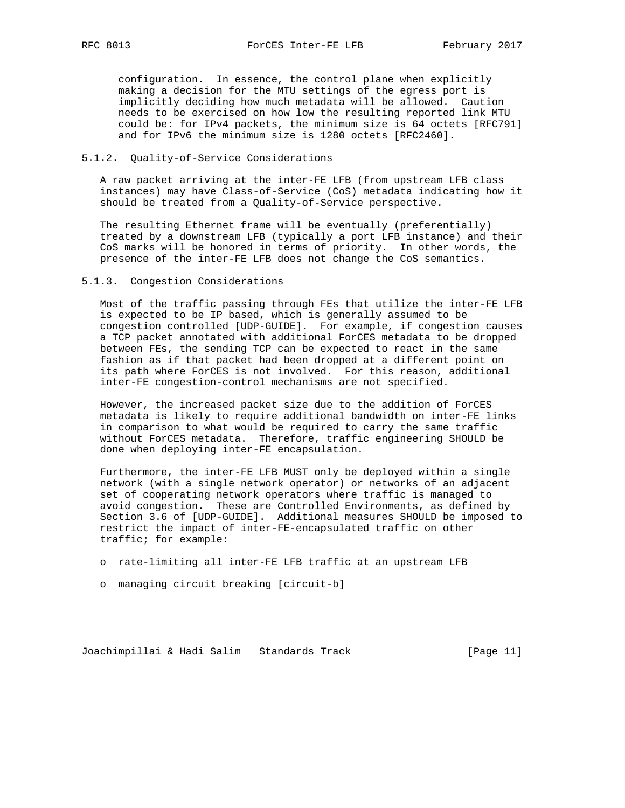configuration. In essence, the control plane when explicitly making a decision for the MTU settings of the egress port is implicitly deciding how much metadata will be allowed. Caution needs to be exercised on how low the resulting reported link MTU could be: for IPv4 packets, the minimum size is 64 octets [RFC791] and for IPv6 the minimum size is 1280 octets [RFC2460].

## 5.1.2. Quality-of-Service Considerations

 A raw packet arriving at the inter-FE LFB (from upstream LFB class instances) may have Class-of-Service (CoS) metadata indicating how it should be treated from a Quality-of-Service perspective.

 The resulting Ethernet frame will be eventually (preferentially) treated by a downstream LFB (typically a port LFB instance) and their CoS marks will be honored in terms of priority. In other words, the presence of the inter-FE LFB does not change the CoS semantics.

#### 5.1.3. Congestion Considerations

 Most of the traffic passing through FEs that utilize the inter-FE LFB is expected to be IP based, which is generally assumed to be congestion controlled [UDP-GUIDE]. For example, if congestion causes a TCP packet annotated with additional ForCES metadata to be dropped between FEs, the sending TCP can be expected to react in the same fashion as if that packet had been dropped at a different point on its path where ForCES is not involved. For this reason, additional inter-FE congestion-control mechanisms are not specified.

 However, the increased packet size due to the addition of ForCES metadata is likely to require additional bandwidth on inter-FE links in comparison to what would be required to carry the same traffic without ForCES metadata. Therefore, traffic engineering SHOULD be done when deploying inter-FE encapsulation.

 Furthermore, the inter-FE LFB MUST only be deployed within a single network (with a single network operator) or networks of an adjacent set of cooperating network operators where traffic is managed to avoid congestion. These are Controlled Environments, as defined by Section 3.6 of [UDP-GUIDE]. Additional measures SHOULD be imposed to restrict the impact of inter-FE-encapsulated traffic on other traffic; for example:

- o rate-limiting all inter-FE LFB traffic at an upstream LFB
- o managing circuit breaking [circuit-b]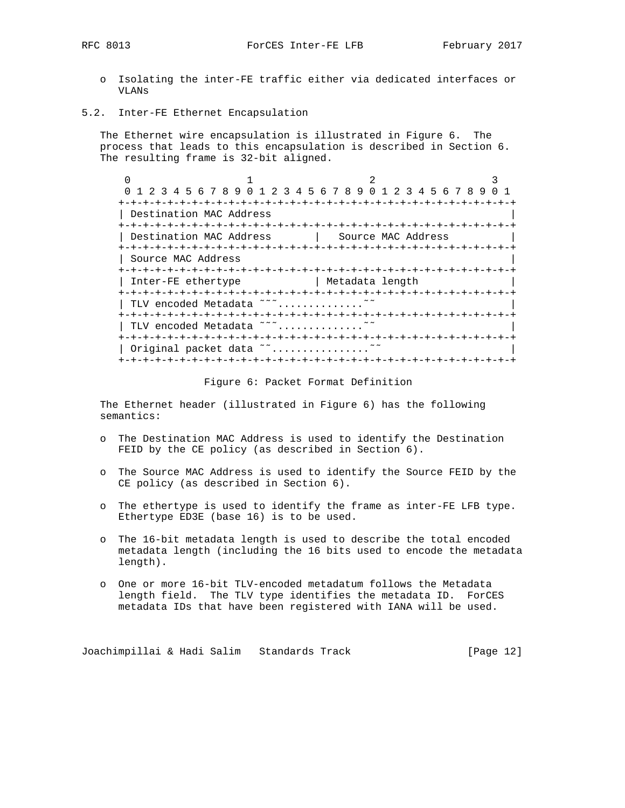- o Isolating the inter-FE traffic either via dedicated interfaces or VLANs
- 5.2. Inter-FE Ethernet Encapsulation

 The Ethernet wire encapsulation is illustrated in Figure 6. The process that leads to this encapsulation is described in Section 6. The resulting frame is 32-bit aligned.

| 1 2 3 4 5 6 7 8 9 0 1 2 3 4 5 6 7 8 9 0 1 2 3 4 5 6 7 8 9 |               |                    |  |  |
|-----------------------------------------------------------|---------------|--------------------|--|--|
|                                                           |               |                    |  |  |
| Destination MAC Address                                   |               |                    |  |  |
|                                                           |               |                    |  |  |
| Destination MAC Address                                   |               | Source MAC Address |  |  |
|                                                           |               |                    |  |  |
| Source MAC Address                                        |               |                    |  |  |
|                                                           |               |                    |  |  |
| Inter-FE ethertype                                        |               | Metadata length    |  |  |
| +-+-+-+-+-+-+-+-+-+-+-+                                   | -+-+-+-+-+-+- |                    |  |  |
| TLV encoded Metadata ~~~                                  |               |                    |  |  |
| +-+-+-+-+-+-+-+-+-+-+-+-+-+-+-+-+-+-+-+                   |               |                    |  |  |
| TLV encoded Metadata ~~~                                  |               |                    |  |  |
|                                                           |               |                    |  |  |
| Original packet data ~                                    |               |                    |  |  |
|                                                           |               |                    |  |  |

#### Figure 6: Packet Format Definition

 The Ethernet header (illustrated in Figure 6) has the following semantics:

- o The Destination MAC Address is used to identify the Destination FEID by the CE policy (as described in Section 6).
- o The Source MAC Address is used to identify the Source FEID by the CE policy (as described in Section 6).
- o The ethertype is used to identify the frame as inter-FE LFB type. Ethertype ED3E (base 16) is to be used.
- o The 16-bit metadata length is used to describe the total encoded metadata length (including the 16 bits used to encode the metadata length).
- o One or more 16-bit TLV-encoded metadatum follows the Metadata length field. The TLV type identifies the metadata ID. ForCES metadata IDs that have been registered with IANA will be used.

Joachimpillai & Hadi Salim Standards Track [Page 12]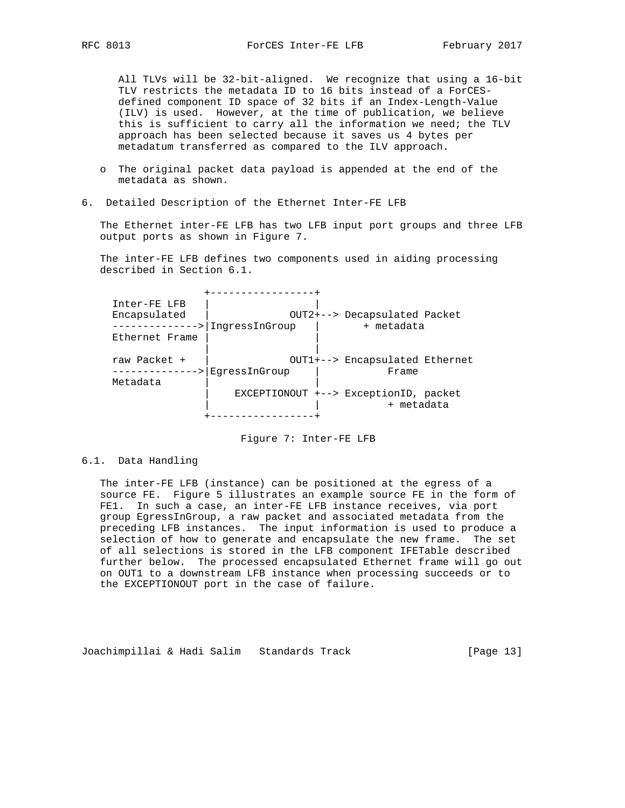All TLVs will be 32-bit-aligned. We recognize that using a 16-bit TLV restricts the metadata ID to 16 bits instead of a ForCES defined component ID space of 32 bits if an Index-Length-Value (ILV) is used. However, at the time of publication, we believe this is sufficient to carry all the information we need; the TLV approach has been selected because it saves us 4 bytes per metadatum transferred as compared to the ILV approach.

- o The original packet data payload is appended at the end of the metadata as shown.
- 6. Detailed Description of the Ethernet Inter-FE LFB

 The Ethernet inter-FE LFB has two LFB input port groups and three LFB output ports as shown in Figure 7.

 The inter-FE LFB defines two components used in aiding processing described in Section 6.1.

 +-----------------+ Inter-FE LFB | | Encapsulated | OUT2+--> Decapsulated Packet ------------->|IngressInGroup | + metadata Ethernet Frame | | | | raw Packet + | OUT1+--> Encapsulated Ethernet -------------->|EgressInGroup | Frame Metadata | EXCEPTIONOUT +--> ExceptionID, packet + metadata +-----------------+

Figure 7: Inter-FE LFB

### 6.1. Data Handling

 The inter-FE LFB (instance) can be positioned at the egress of a source FE. Figure 5 illustrates an example source FE in the form of FE1. In such a case, an inter-FE LFB instance receives, via port group EgressInGroup, a raw packet and associated metadata from the preceding LFB instances. The input information is used to produce a selection of how to generate and encapsulate the new frame. The set of all selections is stored in the LFB component IFETable described further below. The processed encapsulated Ethernet frame will go out on OUT1 to a downstream LFB instance when processing succeeds or to the EXCEPTIONOUT port in the case of failure.

Joachimpillai & Hadi Salim Standards Track [Page 13]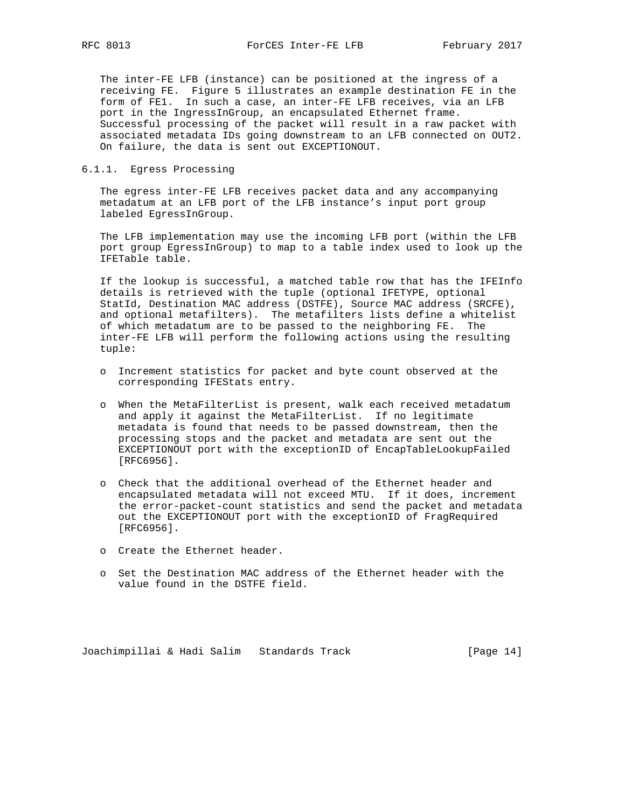The inter-FE LFB (instance) can be positioned at the ingress of a receiving FE. Figure 5 illustrates an example destination FE in the form of FE1. In such a case, an inter-FE LFB receives, via an LFB port in the IngressInGroup, an encapsulated Ethernet frame. Successful processing of the packet will result in a raw packet with associated metadata IDs going downstream to an LFB connected on OUT2. On failure, the data is sent out EXCEPTIONOUT.

# 6.1.1. Egress Processing

 The egress inter-FE LFB receives packet data and any accompanying metadatum at an LFB port of the LFB instance's input port group labeled EgressInGroup.

 The LFB implementation may use the incoming LFB port (within the LFB port group EgressInGroup) to map to a table index used to look up the IFETable table.

 If the lookup is successful, a matched table row that has the IFEInfo details is retrieved with the tuple (optional IFETYPE, optional StatId, Destination MAC address (DSTFE), Source MAC address (SRCFE), and optional metafilters). The metafilters lists define a whitelist of which metadatum are to be passed to the neighboring FE. The inter-FE LFB will perform the following actions using the resulting tuple:

- o Increment statistics for packet and byte count observed at the corresponding IFEStats entry.
- o When the MetaFilterList is present, walk each received metadatum and apply it against the MetaFilterList. If no legitimate metadata is found that needs to be passed downstream, then the processing stops and the packet and metadata are sent out the EXCEPTIONOUT port with the exceptionID of EncapTableLookupFailed [RFC6956].
- o Check that the additional overhead of the Ethernet header and encapsulated metadata will not exceed MTU. If it does, increment the error-packet-count statistics and send the packet and metadata out the EXCEPTIONOUT port with the exceptionID of FragRequired [RFC6956].
- o Create the Ethernet header.
- o Set the Destination MAC address of the Ethernet header with the value found in the DSTFE field.

Joachimpillai & Hadi Salim Standards Track [Page 14]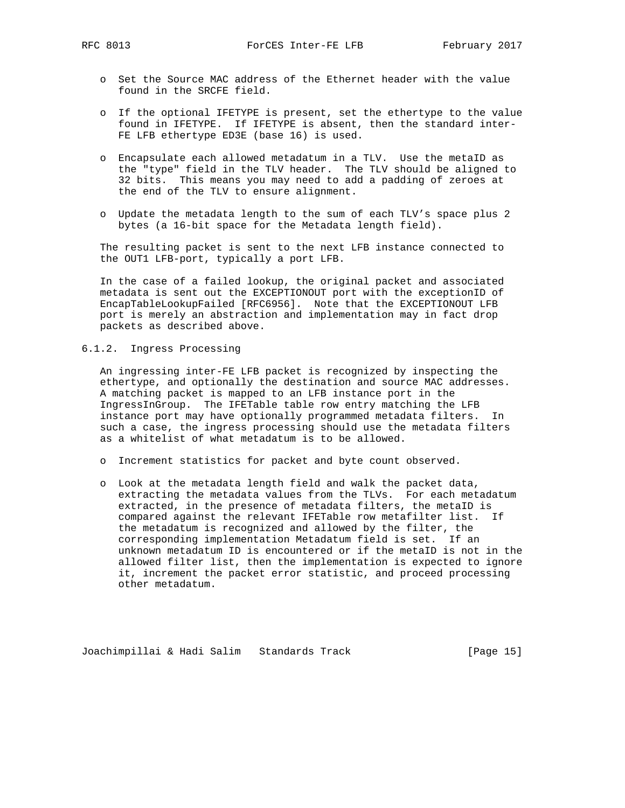- o Set the Source MAC address of the Ethernet header with the value found in the SRCFE field.
- o If the optional IFETYPE is present, set the ethertype to the value found in IFETYPE. If IFETYPE is absent, then the standard inter- FE LFB ethertype ED3E (base 16) is used.
- o Encapsulate each allowed metadatum in a TLV. Use the metaID as the "type" field in the TLV header. The TLV should be aligned to 32 bits. This means you may need to add a padding of zeroes at the end of the TLV to ensure alignment.
- o Update the metadata length to the sum of each TLV's space plus 2 bytes (a 16-bit space for the Metadata length field).

 The resulting packet is sent to the next LFB instance connected to the OUT1 LFB-port, typically a port LFB.

 In the case of a failed lookup, the original packet and associated metadata is sent out the EXCEPTIONOUT port with the exceptionID of EncapTableLookupFailed [RFC6956]. Note that the EXCEPTIONOUT LFB port is merely an abstraction and implementation may in fact drop packets as described above.

# 6.1.2. Ingress Processing

 An ingressing inter-FE LFB packet is recognized by inspecting the ethertype, and optionally the destination and source MAC addresses. A matching packet is mapped to an LFB instance port in the IngressInGroup. The IFETable table row entry matching the LFB instance port may have optionally programmed metadata filters. In such a case, the ingress processing should use the metadata filters as a whitelist of what metadatum is to be allowed.

- o Increment statistics for packet and byte count observed.
- o Look at the metadata length field and walk the packet data, extracting the metadata values from the TLVs. For each metadatum extracted, in the presence of metadata filters, the metaID is compared against the relevant IFETable row metafilter list. If the metadatum is recognized and allowed by the filter, the corresponding implementation Metadatum field is set. If an unknown metadatum ID is encountered or if the metaID is not in the allowed filter list, then the implementation is expected to ignore it, increment the packet error statistic, and proceed processing other metadatum.

Joachimpillai & Hadi Salim Standards Track [Page 15]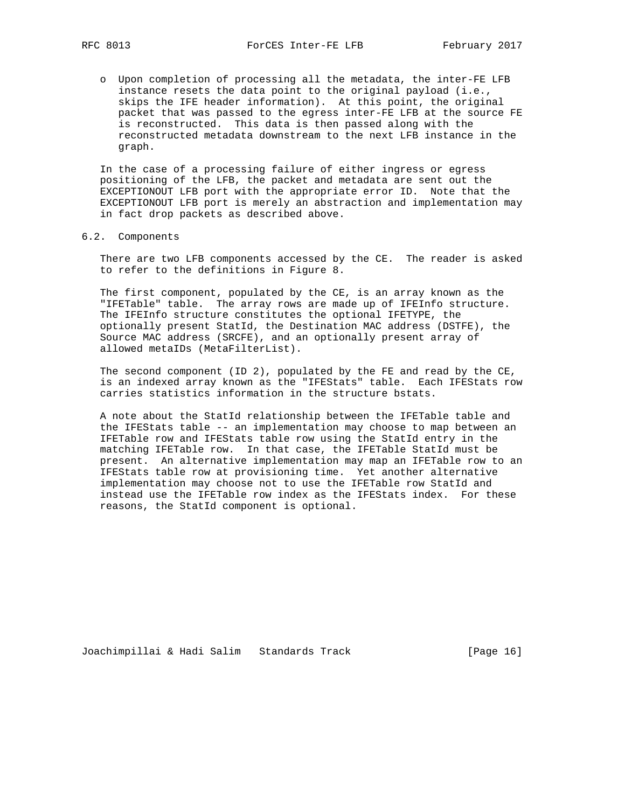o Upon completion of processing all the metadata, the inter-FE LFB instance resets the data point to the original payload (i.e., skips the IFE header information). At this point, the original packet that was passed to the egress inter-FE LFB at the source FE is reconstructed. This data is then passed along with the reconstructed metadata downstream to the next LFB instance in the graph.

 In the case of a processing failure of either ingress or egress positioning of the LFB, the packet and metadata are sent out the EXCEPTIONOUT LFB port with the appropriate error ID. Note that the EXCEPTIONOUT LFB port is merely an abstraction and implementation may in fact drop packets as described above.

#### 6.2. Components

 There are two LFB components accessed by the CE. The reader is asked to refer to the definitions in Figure 8.

 The first component, populated by the CE, is an array known as the "IFETable" table. The array rows are made up of IFEInfo structure. The IFEInfo structure constitutes the optional IFETYPE, the optionally present StatId, the Destination MAC address (DSTFE), the Source MAC address (SRCFE), and an optionally present array of allowed metaIDs (MetaFilterList).

 The second component (ID 2), populated by the FE and read by the CE, is an indexed array known as the "IFEStats" table. Each IFEStats row carries statistics information in the structure bstats.

 A note about the StatId relationship between the IFETable table and the IFEStats table -- an implementation may choose to map between an IFETable row and IFEStats table row using the StatId entry in the matching IFETable row. In that case, the IFETable StatId must be present. An alternative implementation may map an IFETable row to an IFEStats table row at provisioning time. Yet another alternative implementation may choose not to use the IFETable row StatId and instead use the IFETable row index as the IFEStats index. For these reasons, the StatId component is optional.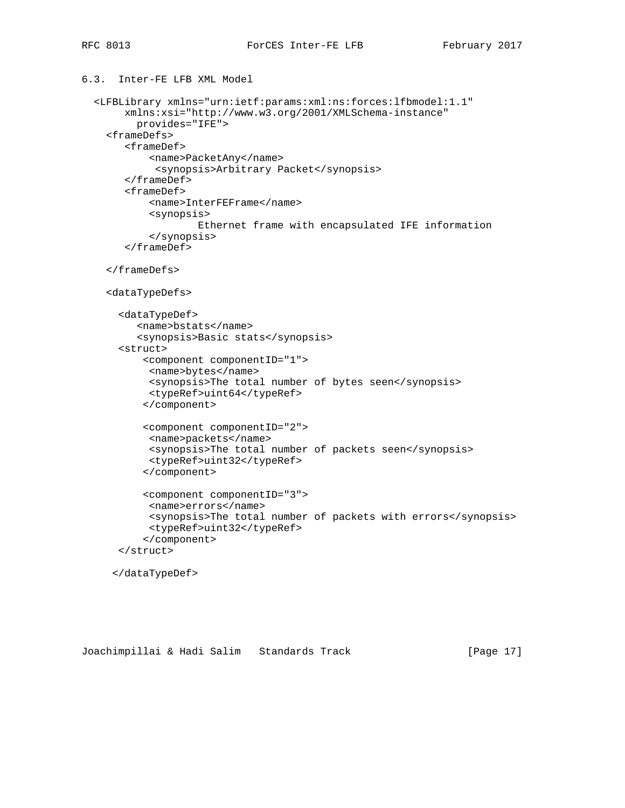```
6.3. Inter-FE LFB XML Model
```

```
 <LFBLibrary xmlns="urn:ietf:params:xml:ns:forces:lfbmodel:1.1"
     xmlns:xsi="http://www.w3.org/2001/XMLSchema-instance"
       provides="IFE">
  <frameDefs>
     <frameDef>
         <name>PacketAny</name>
          <synopsis>Arbitrary Packet</synopsis>
     </frameDef>
     <frameDef>
         <name>InterFEFrame</name>
         <synopsis>
                 Ethernet frame with encapsulated IFE information
         </synopsis>
     </frameDef>
  </frameDefs>
  <dataTypeDefs>
    <dataTypeDef>
       <name>bstats</name>
       <synopsis>Basic stats</synopsis>
    <struct>
        <component componentID="1">
         <name>bytes</name>
         <synopsis>The total number of bytes seen</synopsis>
         <typeRef>uint64</typeRef>
        </component>
        <component componentID="2">
         <name>packets</name>
         <synopsis>The total number of packets seen</synopsis>
         <typeRef>uint32</typeRef>
        </component>
        <component componentID="3">
         <name>errors</name>
         <synopsis>The total number of packets with errors</synopsis>
         <typeRef>uint32</typeRef>
        </component>
    </struct>
```
</dataTypeDef>

Joachimpillai & Hadi Salim Standards Track [Page 17]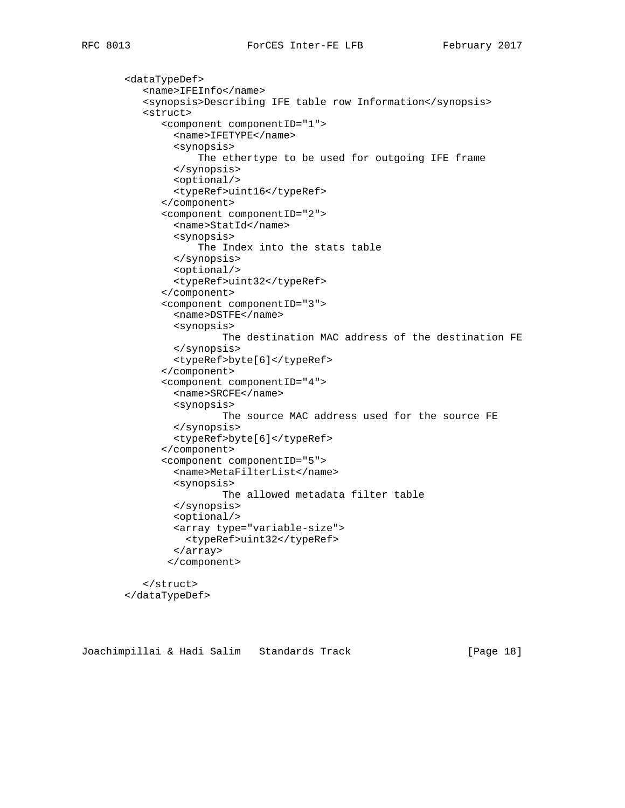```
 <dataTypeDef>
   <name>IFEInfo</name>
   <synopsis>Describing IFE table row Information</synopsis>
   <struct>
      <component componentID="1">
        <name>IFETYPE</name>
        <synopsis>
            The ethertype to be used for outgoing IFE frame
        </synopsis>
        <optional/>
        <typeRef>uint16</typeRef>
      </component>
      <component componentID="2">
        <name>StatId</name>
        <synopsis>
            The Index into the stats table
        </synopsis>
        <optional/>
        <typeRef>uint32</typeRef>
      </component>
      <component componentID="3">
        <name>DSTFE</name>
        <synopsis>
                 The destination MAC address of the destination FE
        </synopsis>
        <typeRef>byte[6]</typeRef>
      </component>
      <component componentID="4">
        <name>SRCFE</name>
        <synopsis>
                 The source MAC address used for the source FE
        </synopsis>
        <typeRef>byte[6]</typeRef>
      </component>
      <component componentID="5">
        <name>MetaFilterList</name>
        <synopsis>
                The allowed metadata filter table
        </synopsis>
        <optional/>
        <array type="variable-size">
          <typeRef>uint32</typeRef>
        </array>
       </component>
   </struct>
</dataTypeDef>
```
Joachimpillai & Hadi Salim Standards Track [Page 18]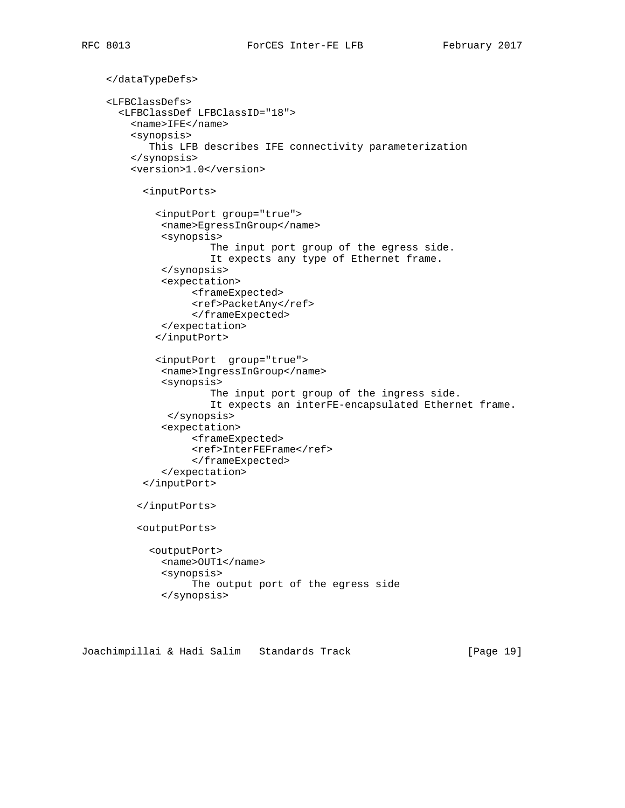```
 </dataTypeDefs>
<LFBClassDefs>
  <LFBClassDef LFBClassID="18">
    <name>IFE</name>
    <synopsis>
       This LFB describes IFE connectivity parameterization
    </synopsis>
    <version>1.0</version>
      <inputPorts>
        <inputPort group="true">
         <name>EgressInGroup</name>
         <synopsis>
                  The input port group of the egress side.
                  It expects any type of Ethernet frame.
         </synopsis>
         <expectation>
              <frameExpected>
              <ref>PacketAny</ref>
              </frameExpected>
         </expectation>
        </inputPort>
        <inputPort group="true">
         <name>IngressInGroup</name>
         <synopsis>
                  The input port group of the ingress side.
                  It expects an interFE-encapsulated Ethernet frame.
          </synopsis>
         <expectation>
              <frameExpected>
              <ref>InterFEFrame</ref>
              </frameExpected>
         </expectation>
      </inputPort>
     </inputPorts>
     <outputPorts>
       <outputPort>
         <name>OUT1</name>
         <synopsis>
              The output port of the egress side
         </synopsis>
```
Joachimpillai & Hadi Salim Standards Track [Page 19]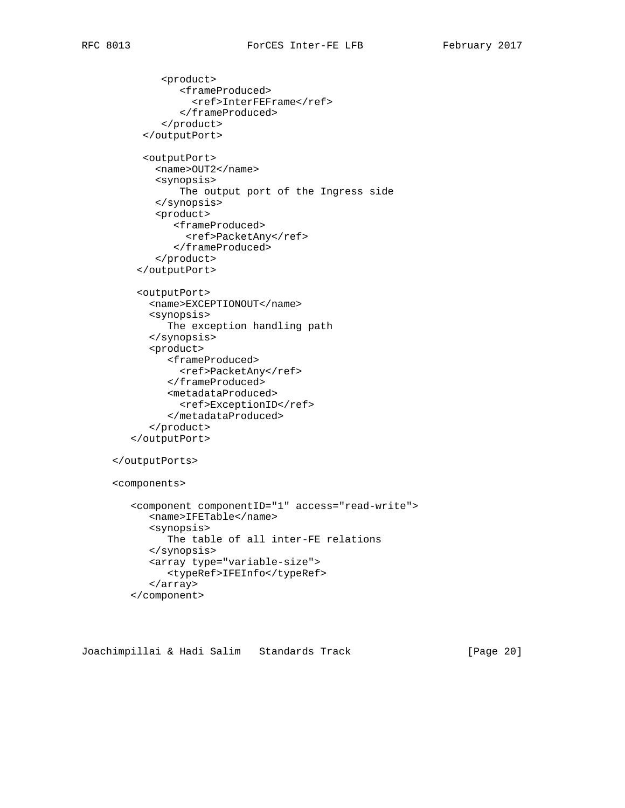```
 <product>
           <frameProduced>
              <ref>InterFEFrame</ref>
           </frameProduced>
        </product>
     </outputPort>
     <outputPort>
       <name>OUT2</name>
       <synopsis>
           The output port of the Ingress side
       </synopsis>
       <product>
          <frameProduced>
            <ref>PacketAny</ref>
          </frameProduced>
       </product>
    </outputPort>
    <outputPort>
      <name>EXCEPTIONOUT</name>
      <synopsis>
         The exception handling path
      </synopsis>
      <product>
         <frameProduced>
           <ref>PacketAny</ref>
         </frameProduced>
         <metadataProduced>
           <ref>ExceptionID</ref>
         </metadataProduced>
      </product>
   </outputPort>
</outputPorts>
<components>
   <component componentID="1" access="read-write">
      <name>IFETable</name>
      <synopsis>
         The table of all inter-FE relations
      </synopsis>
      <array type="variable-size">
         <typeRef>IFEInfo</typeRef>
      </array>
```

```
 </component>
```
Joachimpillai & Hadi Salim Standards Track [Page 20]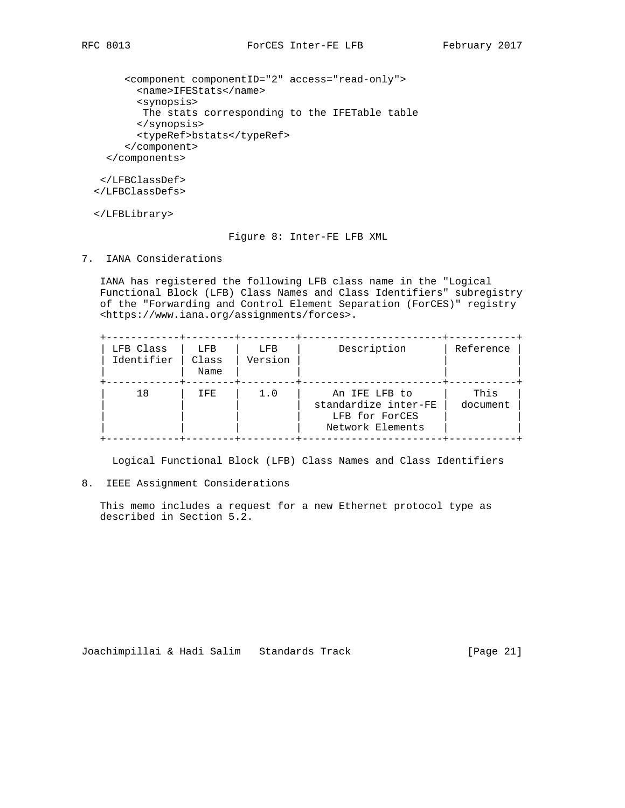<component componentID="2" access="read-only"> <name>IFEStats</name> <synopsis> The stats corresponding to the IFETable table </synopsis> <typeRef>bstats</typeRef> </component> </components>

 </LFBClassDef> </LFBClassDefs>

</LFBLibrary>

# Figure 8: Inter-FE LFB XML

7. IANA Considerations

 IANA has registered the following LFB class name in the "Logical Functional Block (LFB) Class Names and Class Identifiers" subregistry of the "Forwarding and Control Element Separation (ForCES)" registry <https://www.iana.org/assignments/forces>.

| LFB Class<br>Identifier | LFB<br>Class<br>Name | LFB<br>Version | Description                                                                 | Reference        |
|-------------------------|----------------------|----------------|-----------------------------------------------------------------------------|------------------|
| 1 8                     | IFE                  | 1.0            | An IFE LFB to<br>standardize inter-FE<br>LFB for ForCES<br>Network Elements | This<br>document |

Logical Functional Block (LFB) Class Names and Class Identifiers

# 8. IEEE Assignment Considerations

 This memo includes a request for a new Ethernet protocol type as described in Section 5.2.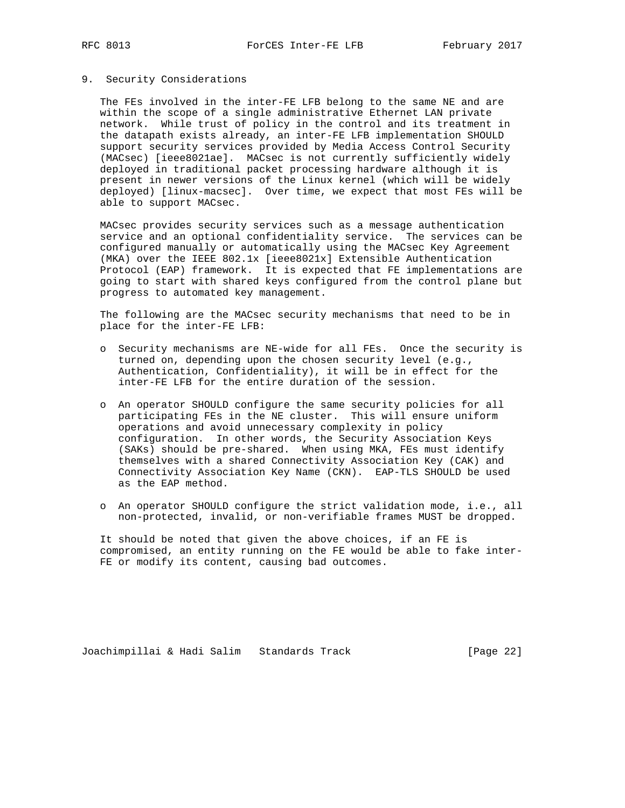# 9. Security Considerations

 The FEs involved in the inter-FE LFB belong to the same NE and are within the scope of a single administrative Ethernet LAN private network. While trust of policy in the control and its treatment in the datapath exists already, an inter-FE LFB implementation SHOULD support security services provided by Media Access Control Security (MACsec) [ieee8021ae]. MACsec is not currently sufficiently widely deployed in traditional packet processing hardware although it is present in newer versions of the Linux kernel (which will be widely deployed) [linux-macsec]. Over time, we expect that most FEs will be able to support MACsec.

 MACsec provides security services such as a message authentication service and an optional confidentiality service. The services can be configured manually or automatically using the MACsec Key Agreement (MKA) over the IEEE 802.1x [ieee8021x] Extensible Authentication Protocol (EAP) framework. It is expected that FE implementations are going to start with shared keys configured from the control plane but progress to automated key management.

 The following are the MACsec security mechanisms that need to be in place for the inter-FE LFB:

- o Security mechanisms are NE-wide for all FEs. Once the security is turned on, depending upon the chosen security level (e.g., Authentication, Confidentiality), it will be in effect for the inter-FE LFB for the entire duration of the session.
- o An operator SHOULD configure the same security policies for all participating FEs in the NE cluster. This will ensure uniform operations and avoid unnecessary complexity in policy configuration. In other words, the Security Association Keys (SAKs) should be pre-shared. When using MKA, FEs must identify themselves with a shared Connectivity Association Key (CAK) and Connectivity Association Key Name (CKN). EAP-TLS SHOULD be used as the EAP method.
- o An operator SHOULD configure the strict validation mode, i.e., all non-protected, invalid, or non-verifiable frames MUST be dropped.

 It should be noted that given the above choices, if an FE is compromised, an entity running on the FE would be able to fake inter- FE or modify its content, causing bad outcomes.

Joachimpillai & Hadi Salim Standards Track [Page 22]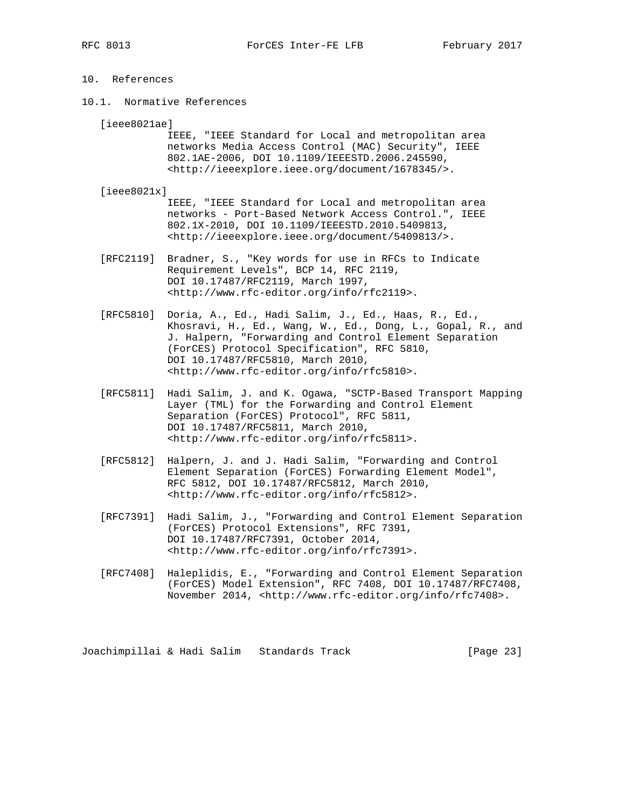# 10. References

10.1. Normative References

[ieee8021ae]

 IEEE, "IEEE Standard for Local and metropolitan area networks Media Access Control (MAC) Security", IEEE 802.1AE-2006, DOI 10.1109/IEEESTD.2006.245590, <http://ieeexplore.ieee.org/document/1678345/>.

#### [ieee8021x]

 IEEE, "IEEE Standard for Local and metropolitan area networks - Port-Based Network Access Control.", IEEE 802.1X-2010, DOI 10.1109/IEEESTD.2010.5409813, <http://ieeexplore.ieee.org/document/5409813/>.

- [RFC2119] Bradner, S., "Key words for use in RFCs to Indicate Requirement Levels", BCP 14, RFC 2119, DOI 10.17487/RFC2119, March 1997, <http://www.rfc-editor.org/info/rfc2119>.
- [RFC5810] Doria, A., Ed., Hadi Salim, J., Ed., Haas, R., Ed., Khosravi, H., Ed., Wang, W., Ed., Dong, L., Gopal, R., and J. Halpern, "Forwarding and Control Element Separation (ForCES) Protocol Specification", RFC 5810, DOI 10.17487/RFC5810, March 2010, <http://www.rfc-editor.org/info/rfc5810>.
- [RFC5811] Hadi Salim, J. and K. Ogawa, "SCTP-Based Transport Mapping Layer (TML) for the Forwarding and Control Element Separation (ForCES) Protocol", RFC 5811, DOI 10.17487/RFC5811, March 2010, <http://www.rfc-editor.org/info/rfc5811>.
- [RFC5812] Halpern, J. and J. Hadi Salim, "Forwarding and Control Element Separation (ForCES) Forwarding Element Model", RFC 5812, DOI 10.17487/RFC5812, March 2010, <http://www.rfc-editor.org/info/rfc5812>.
- [RFC7391] Hadi Salim, J., "Forwarding and Control Element Separation (ForCES) Protocol Extensions", RFC 7391, DOI 10.17487/RFC7391, October 2014, <http://www.rfc-editor.org/info/rfc7391>.
- [RFC7408] Haleplidis, E., "Forwarding and Control Element Separation (ForCES) Model Extension", RFC 7408, DOI 10.17487/RFC7408, November 2014, <http://www.rfc-editor.org/info/rfc7408>.

Joachimpillai & Hadi Salim Standards Track [Page 23]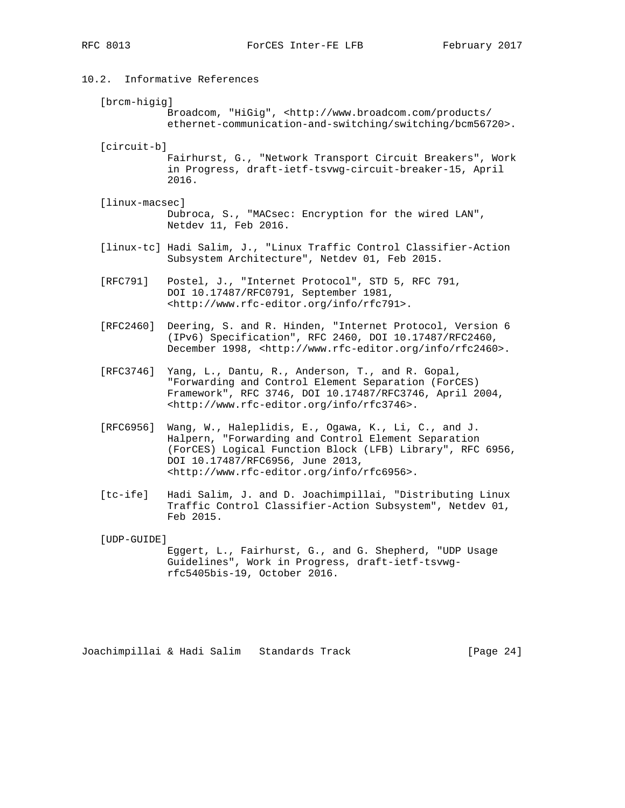# 10.2. Informative References

[brcm-higig]

Broadcom, "HiGig", <http://www.broadcom.com/products/ ethernet-communication-and-switching/switching/bcm56720>.

[circuit-b]

 Fairhurst, G., "Network Transport Circuit Breakers", Work in Progress, draft-ietf-tsvwg-circuit-breaker-15, April 2016.

- [linux-macsec] Dubroca, S., "MACsec: Encryption for the wired LAN", Netdev 11, Feb 2016.
- [linux-tc] Hadi Salim, J., "Linux Traffic Control Classifier-Action Subsystem Architecture", Netdev 01, Feb 2015.

 [RFC791] Postel, J., "Internet Protocol", STD 5, RFC 791, DOI 10.17487/RFC0791, September 1981, <http://www.rfc-editor.org/info/rfc791>.

- [RFC2460] Deering, S. and R. Hinden, "Internet Protocol, Version 6 (IPv6) Specification", RFC 2460, DOI 10.17487/RFC2460, December 1998, <http://www.rfc-editor.org/info/rfc2460>.
- [RFC3746] Yang, L., Dantu, R., Anderson, T., and R. Gopal, "Forwarding and Control Element Separation (ForCES) Framework", RFC 3746, DOI 10.17487/RFC3746, April 2004, <http://www.rfc-editor.org/info/rfc3746>.
- [RFC6956] Wang, W., Haleplidis, E., Ogawa, K., Li, C., and J. Halpern, "Forwarding and Control Element Separation (ForCES) Logical Function Block (LFB) Library", RFC 6956, DOI 10.17487/RFC6956, June 2013, <http://www.rfc-editor.org/info/rfc6956>.
- [tc-ife] Hadi Salim, J. and D. Joachimpillai, "Distributing Linux Traffic Control Classifier-Action Subsystem", Netdev 01, Feb 2015.

[UDP-GUIDE]

 Eggert, L., Fairhurst, G., and G. Shepherd, "UDP Usage Guidelines", Work in Progress, draft-ietf-tsvwg rfc5405bis-19, October 2016.

Joachimpillai & Hadi Salim Standards Track [Page 24]